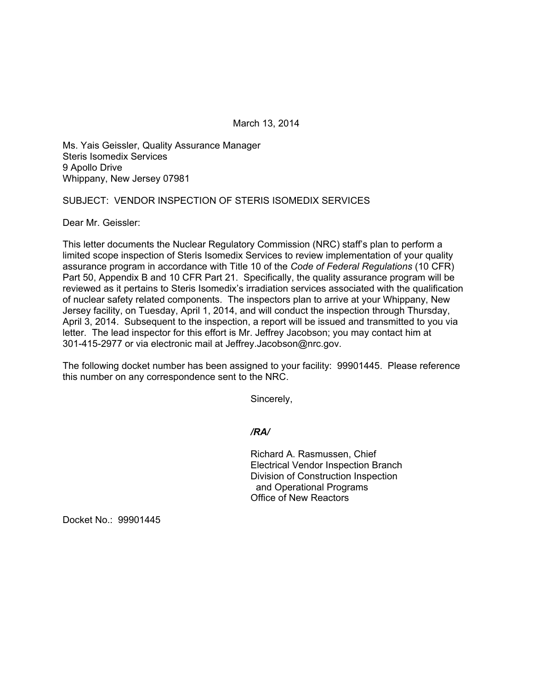March 13, 2014

Ms. Yais Geissler, Quality Assurance Manager Steris Isomedix Services 9 Apollo Drive Whippany, New Jersey 07981

## SUBJECT: VENDOR INSPECTION OF STERIS ISOMEDIX SERVICES

Dear Mr. Geissler:

This letter documents the Nuclear Regulatory Commission (NRC) staff's plan to perform a limited scope inspection of Steris Isomedix Services to review implementation of your quality assurance program in accordance with Title 10 of the *Code of Federal Regulations* (10 CFR) Part 50, Appendix B and 10 CFR Part 21. Specifically, the quality assurance program will be reviewed as it pertains to Steris Isomedix's irradiation services associated with the qualification of nuclear safety related components. The inspectors plan to arrive at your Whippany, New Jersey facility, on Tuesday, April 1, 2014, and will conduct the inspection through Thursday, April 3, 2014. Subsequent to the inspection, a report will be issued and transmitted to you via letter. The lead inspector for this effort is Mr. Jeffrey Jacobson; you may contact him at 301-415-2977 or via electronic mail at Jeffrey.Jacobson@nrc.gov.

The following docket number has been assigned to your facility: 99901445. Please reference this number on any correspondence sent to the NRC.

Sincerely,

*/RA/* 

Richard A. Rasmussen, Chief Electrical Vendor Inspection Branch Division of Construction Inspection and Operational Programs Office of New Reactors

Docket No.: 99901445